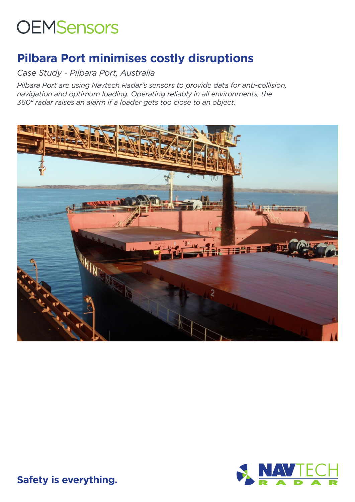# **OEMSensors**

## **Pilbara Port minimises costly disruptions**

*Case Study - Pilbara Port, Australia*

*Pilbara Port are using Navtech Radar's sensors to provide data for anti-collision, navigation and optimum loading. Operating reliably in all environments, the 360° radar raises an alarm if a loader gets too close to an object.*





**Safety is everything.**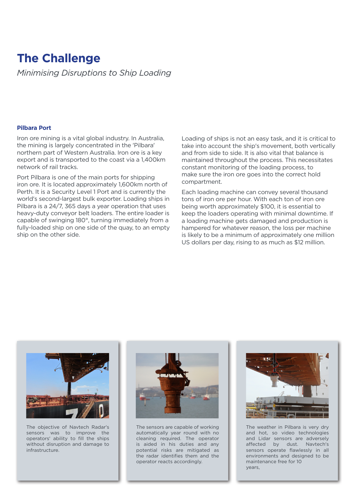## **The Challenge**

*Minimising Disruptions to Ship Loading*

#### **Pilbara Port**

Iron ore mining is a vital global industry. In Australia, the mining is largely concentrated in the 'Pilbara' northern part of Western Australia. Iron ore is a key export and is transported to the coast via a 1,400km network of rail tracks.

Port Pilbara is one of the main ports for shipping iron ore. It is located approximately 1,600km north of Perth. It is a Security Level 1 Port and is currently the world's second-largest bulk exporter. Loading ships in Pilbara is a 24/7, 365 days a year operation that uses heavy-duty conveyor belt loaders. The entire loader is capable of swinging 180°, turning immediately from a fully-loaded ship on one side of the quay, to an empty ship on the other side.

Loading of ships is not an easy task, and it is critical to take into account the ship's movement, both vertically and from side to side. It is also vital that balance is maintained throughout the process. This necessitates constant monitoring of the loading process, to make sure the iron ore goes into the correct hold compartment.

Each loading machine can convey several thousand tons of iron ore per hour. With each ton of iron ore being worth approximately \$100, it is essential to keep the loaders operating with minimal downtime. If a loading machine gets damaged and production is hampered for whatever reason, the loss per machine is likely to be a minimum of approximately one million US dollars per day, rising to as much as \$12 million.



The objective of Navtech Radar's sensors was to improve the operators' ability to fill the ships without disruption and damage to infrastructure.



The sensors are capable of working automatically year round with no cleaning required. The operator is aided in his duties and any potential risks are mitigated as the radar identifies them and the operator reacts accordingly.



The weather in Pilbara is very dry and hot, so video technologies and Lidar sensors are adversely affected by dust. Navtech's sensors operate flawlessly in all environments and designed to be maintenance free for 10 years,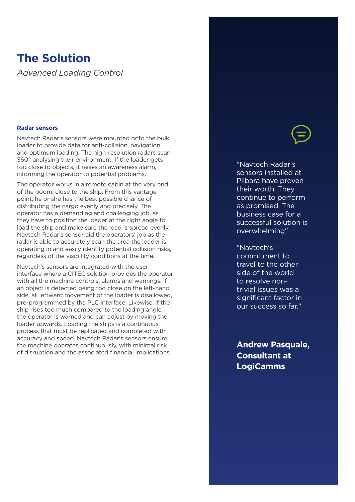### **The Solution**

*Advanced Loading Control*

#### **Radar sensors**

Navtech Radar's sensors were mounted onto the bulk loader to provide data for anti-collision, navigation and optimum loading. The high-resolution radars scan 360° analysing their environment. If the loader gets too close to objects, it raises an awareness alarm, informing the operator to potential problems.

The operator works in a remote cabin at the very end of the boom, close to the ship. From this vantage point, he or she has the best possible chance of distributing the cargo evenly and precisely. The operator has a demanding and challenging job, as they have to position the loader at the right angle to load the ship and make sure the load is spread evenly. Navtech Radar's sensor aid the operators' job as the radar is able to accurately scan the area the loader is operating in and easily identify potential collision risks, regardless of the visibility conditions at the time.

Navtech's sensors are integrated with the user interface where a CITEC solution provides the operator with all the machine controls, alarms and warnings. If an object is detected being too close on the left-hand side, all leftward movement of the loader is disallowed, pre-programmed by the PLC interface. Likewise, if the ship rises too much compared to the loading angle, the operator is warned and can adjust by moving the loader upwards. Loading the ships is a continuous process that must be replicated and completed with accuracy and speed. Navtech Radar's sensors ensure the machine operates continuously, with minimal risk of disruption and the associated financial implications.

"Navtech Radar's sensors installed at Pilbara have proven their worth. They continue to perform as promised. The business case for a successful solution is overwhelming"

"Navtech's commitment to travel to the other side of the world to resolve nontrivial issues was a significant factor in our success so far."

**Andrew Pasquale, Consultant at LogiCamms**